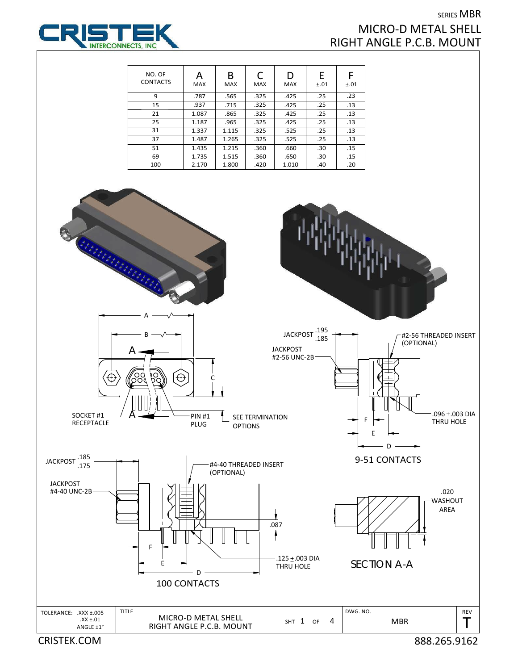## SERIES MBR MICRO‐D METAL SHELL RIGHT ANGLE P.C.B. MOUNT



| NO. OF<br><b>CONTACTS</b> | А<br><b>MAX</b> | В<br><b>MAX</b> | C<br><b>MAX</b> | D<br>MAX | E<br>±.01 | ±.01 |
|---------------------------|-----------------|-----------------|-----------------|----------|-----------|------|
| 9                         | .787            | .565            | .325            | .425     | .25       | .23  |
| 15                        | .937            | .715            | .325            | .425     | .25       | .13  |
| 21                        | 1.087           | .865            | .325            | .425     | .25       | .13  |
| 25                        | 1.187           | .965            | .325            | .425     | .25       | .13  |
| 31                        | 1.337           | 1.115           | .325            | .525     | .25       | .13  |
| 37                        | 1.487           | 1.265           | .325            | .525     | .25       | .13  |
| 51                        | 1.435           | 1.215           | .360            | .660     | .30       | .15  |
| 69                        | 1.735           | 1.515           | .360            | .650     | .30       | .15  |
| 100                       | 2.170           | 1.800           | .420            | 1.010    | .40       | .20  |

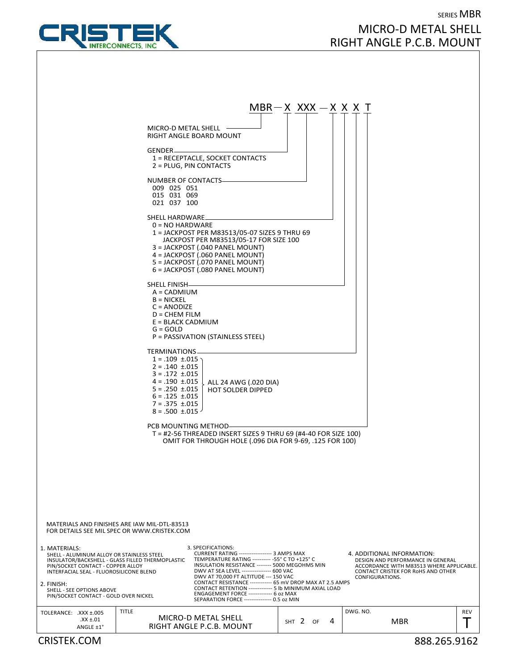

## SERIES MBR MICRO‐D METAL SHELL RIGHT ANGLE P.C.B. MOUNT



CRISTEK.COM 888.265.9162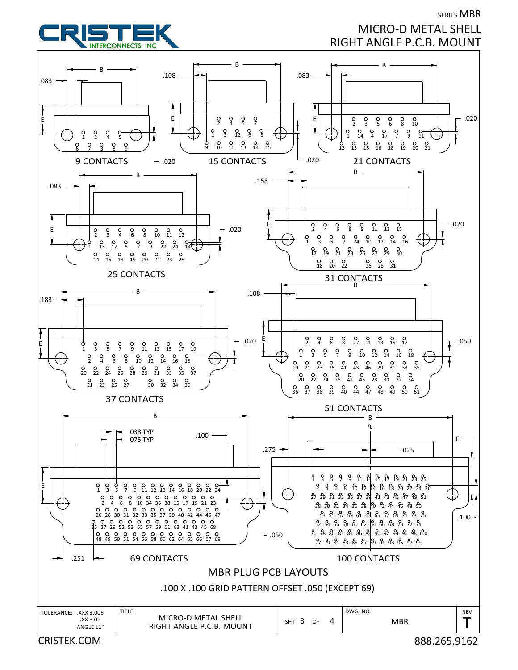